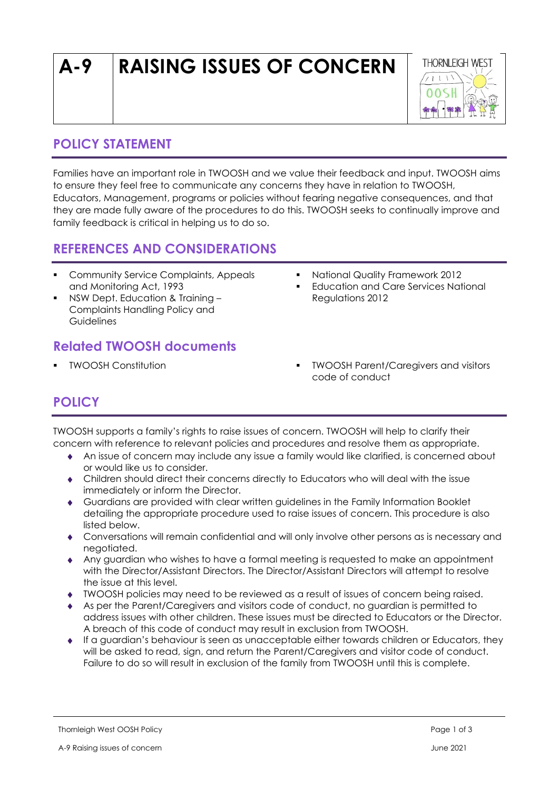# **A-9 RAISING ISSUES OF CONCERN**



# **POLICY STATEMENT**

Families have an important role in TWOOSH and we value their feedback and input. TWOOSH aims to ensure they feel free to communicate any concerns they have in relation to TWOOSH, Educators, Management, programs or policies without fearing negative consequences, and that they are made fully aware of the procedures to do this. TWOOSH seeks to continually improve and family feedback is critical in helping us to do so.

# **REFERENCES AND CONSIDERATIONS**

- Community Service Complaints, Appeals and Monitoring Act, 1993
- NSW Dept. Education & Training -Complaints Handling Policy and **Guidelines**

# **Related TWOOSH documents**

- National Quality Framework 2012
- **Education and Care Services National** Regulations 2012
- TWOOSH Constitution TWOOSH Parent/Caregivers and visitors code of conduct

# **POLICY**

TWOOSH supports a family's rights to raise issues of concern. TWOOSH will help to clarify their concern with reference to relevant policies and procedures and resolve them as appropriate.

- An issue of concern may include any issue a family would like clarified, is concerned about or would like us to consider.
- Children should direct their concerns directly to Educators who will deal with the issue immediately or inform the Director.
- Guardians are provided with clear written guidelines in the Family Information Booklet detailing the appropriate procedure used to raise issues of concern. This procedure is also listed below.
- Conversations will remain confidential and will only involve other persons as is necessary and negotiated.
- Any guardian who wishes to have a formal meeting is requested to make an appointment with the Director/Assistant Directors. The Director/Assistant Directors will attempt to resolve the issue at this level.
- TWOOSH policies may need to be reviewed as a result of issues of concern being raised.
- As per the Parent/Caregivers and visitors code of conduct, no guardian is permitted to address issues with other children. These issues must be directed to Educators or the Director. A breach of this code of conduct may result in exclusion from TWOOSH.
- If a guardian's behaviour is seen as unacceptable either towards children or Educators, they will be asked to read, sign, and return the Parent/Caregivers and visitor code of conduct. Failure to do so will result in exclusion of the family from TWOOSH until this is complete.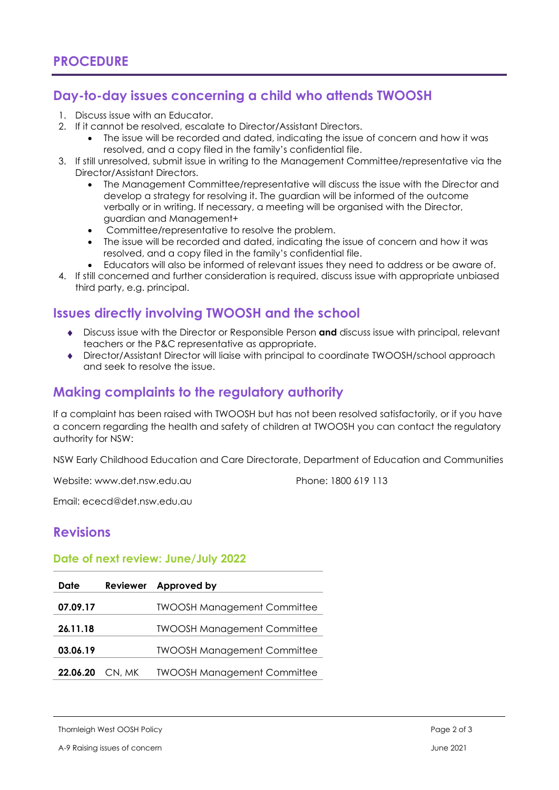# **Day-to-day issues concerning a child who attends TWOOSH**

- 1. Discuss issue with an Educator.
- 2. If it cannot be resolved, escalate to Director/Assistant Directors.
	- The issue will be recorded and dated, indicating the issue of concern and how it was resolved, and a copy filed in the family's confidential file.
- 3. If still unresolved, submit issue in writing to the Management Committee/representative via the Director/Assistant Directors.
	- The Management Committee/representative will discuss the issue with the Director and develop a strategy for resolving it. The guardian will be informed of the outcome verbally or in writing. If necessary, a meeting will be organised with the Director, guardian and Management+
	- Committee/representative to resolve the problem.
	- The issue will be recorded and dated, indicating the issue of concern and how it was resolved, and a copy filed in the family's confidential file.
	- Educators will also be informed of relevant issues they need to address or be aware of.
- 4. If still concerned and further consideration is required, discuss issue with appropriate unbiased third party, e.g. principal.

#### **Issues directly involving TWOOSH and the school**

- Discuss issue with the Director or Responsible Person **and** discuss issue with principal, relevant teachers or the P&C representative as appropriate.
- Director/Assistant Director will liaise with principal to coordinate TWOOSH/school approach and seek to resolve the issue.

### **Making complaints to the regulatory authority**

If a complaint has been raised with TWOOSH but has not been resolved satisfactorily, or if you have a concern regarding the health and safety of children at TWOOSH you can contact the regulatory authority for NSW:

NSW Early Childhood Education and Care Directorate, Department of Education and Communities

Website: www.det.nsw.edu.au

Phone: 1800 619 113

Email: [ececd@det.nsw.edu.au](mailto:ececd@det.nsw.edu.au) 

## **Revisions**

#### **Date of next review: June/July 2022**

| Date     |        | Reviewer Approved by               |
|----------|--------|------------------------------------|
| 07.09.17 |        | <b>TWOOSH Management Committee</b> |
| 26.11.18 |        | <b>TWOOSH Management Committee</b> |
| 03.06.19 |        | <b>TWOOSH Management Committee</b> |
| 22.06.20 | CN, MK | <b>TWOOSH Management Committee</b> |

Thornleigh West OOSH Policy Page 2 of 3